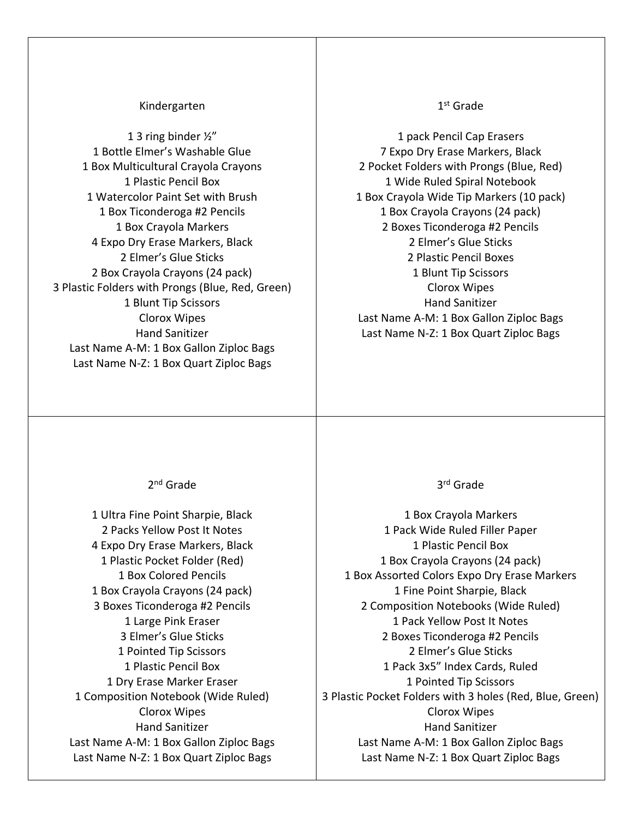## Kindergarten

1 3 ring binder ½" 1 Bottle Elmer's Washable Glue 1 Box Multicultural Crayola Crayons 1 Plastic Pencil Box 1 Watercolor Paint Set with Brush 1 Box Ticonderoga #2 Pencils 1 Box Crayola Markers 4 Expo Dry Erase Markers, Black 2 Elmer's Glue Sticks 2 Box Crayola Crayons (24 pack) 3 Plastic Folders with Prongs (Blue, Red, Green) 1 Blunt Tip Scissors Clorox Wipes Hand Sanitizer Last Name A-M: 1 Box Gallon Ziploc Bags Last Name N-Z: 1 Box Quart Ziploc Bags

## 1 st Grade

1 pack Pencil Cap Erasers 7 Expo Dry Erase Markers, Black 2 Pocket Folders with Prongs (Blue, Red) 1 Wide Ruled Spiral Notebook 1 Box Crayola Wide Tip Markers (10 pack) 1 Box Crayola Crayons (24 pack) 2 Boxes Ticonderoga #2 Pencils 2 Elmer's Glue Sticks 2 Plastic Pencil Boxes 1 Blunt Tip Scissors Clorox Wipes Hand Sanitizer Last Name A-M: 1 Box Gallon Ziploc Bags Last Name N-Z: 1 Box Quart Ziploc Bags

2<sup>nd</sup> Grade

1 Ultra Fine Point Sharpie, Black 2 Packs Yellow Post It Notes 4 Expo Dry Erase Markers, Black 1 Plastic Pocket Folder (Red) 1 Box Colored Pencils 1 Box Crayola Crayons (24 pack) 3 Boxes Ticonderoga #2 Pencils 1 Large Pink Eraser 3 Elmer's Glue Sticks 1 Pointed Tip Scissors 1 Plastic Pencil Box 1 Dry Erase Marker Eraser 1 Composition Notebook (Wide Ruled) Clorox Wipes Hand Sanitizer Last Name A-M: 1 Box Gallon Ziploc Bags Last Name N-Z: 1 Box Quart Ziploc Bags

3 rd Grade

1 Box Crayola Markers 1 Pack Wide Ruled Filler Paper 1 Plastic Pencil Box 1 Box Crayola Crayons (24 pack) 1 Box Assorted Colors Expo Dry Erase Markers 1 Fine Point Sharpie, Black 2 Composition Notebooks (Wide Ruled) 1 Pack Yellow Post It Notes 2 Boxes Ticonderoga #2 Pencils 2 Elmer's Glue Sticks 1 Pack 3x5" Index Cards, Ruled 1 Pointed Tip Scissors 3 Plastic Pocket Folders with 3 holes (Red, Blue, Green) Clorox Wipes Hand Sanitizer Last Name A-M: 1 Box Gallon Ziploc Bags Last Name N-Z: 1 Box Quart Ziploc Bags